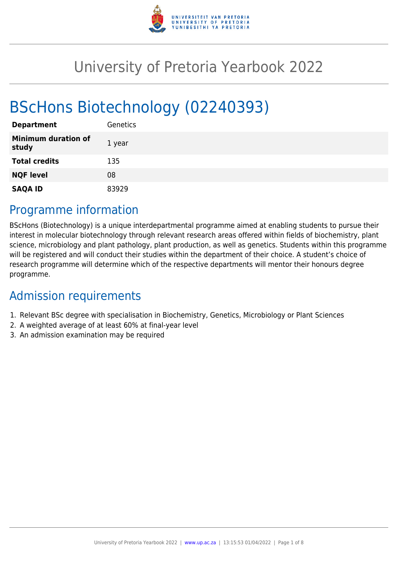

# University of Pretoria Yearbook 2022

# BScHons Biotechnology (02240393)

| <b>Department</b>                   | Genetics |
|-------------------------------------|----------|
| <b>Minimum duration of</b><br>study | 1 year   |
| <b>Total credits</b>                | 135      |
| <b>NQF level</b>                    | 08       |
| <b>SAQA ID</b>                      | 83929    |

# Programme information

BScHons (Biotechnology) is a unique interdepartmental programme aimed at enabling students to pursue their interest in molecular biotechnology through relevant research areas offered within fields of biochemistry, plant science, microbiology and plant pathology, plant production, as well as genetics. Students within this programme will be registered and will conduct their studies within the department of their choice. A student's choice of research programme will determine which of the respective departments will mentor their honours degree programme.

# Admission requirements

- 1. Relevant BSc degree with specialisation in Biochemistry, Genetics, Microbiology or Plant Sciences
- 2. A weighted average of at least 60% at final-year level
- 3. An admission examination may be required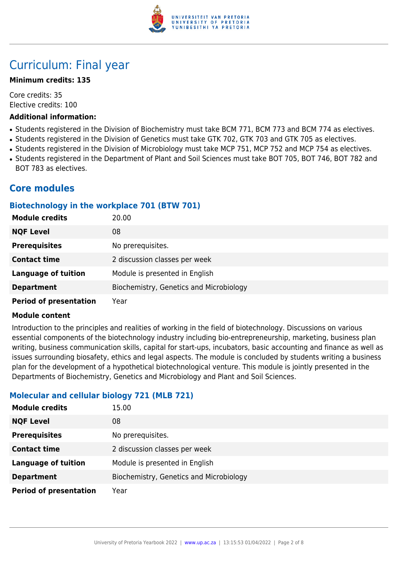

# Curriculum: Final year

# **Minimum credits: 135**

Core credits: 35 Elective credits: 100

#### **Additional information:**

- Students registered in the Division of Biochemistry must take BCM 771, BCM 773 and BCM 774 as electives.
- Students registered in the Division of Genetics must take GTK 702, GTK 703 and GTK 705 as electives.
- Students registered in the Division of Microbiology must take MCP 751, MCP 752 and MCP 754 as electives.
- Students registered in the Department of Plant and Soil Sciences must take BOT 705, BOT 746, BOT 782 and BOT 783 as electives.

# **Core modules**

# **Biotechnology in the workplace 701 (BTW 701)**

| <b>Module credits</b>         | 20.00                                   |
|-------------------------------|-----------------------------------------|
| <b>NQF Level</b>              | 08                                      |
| <b>Prerequisites</b>          | No prerequisites.                       |
| <b>Contact time</b>           | 2 discussion classes per week           |
| <b>Language of tuition</b>    | Module is presented in English          |
| <b>Department</b>             | Biochemistry, Genetics and Microbiology |
| <b>Period of presentation</b> | Year                                    |

## **Module content**

Introduction to the principles and realities of working in the field of biotechnology. Discussions on various essential components of the biotechnology industry including bio-entrepreneurship, marketing, business plan writing, business communication skills, capital for start-ups, incubators, basic accounting and finance as well as issues surrounding biosafety, ethics and legal aspects. The module is concluded by students writing a business plan for the development of a hypothetical biotechnological venture. This module is jointly presented in the Departments of Biochemistry, Genetics and Microbiology and Plant and Soil Sciences.

# **Molecular and cellular biology 721 (MLB 721)**

| <b>Module credits</b>         | 15.00                                   |
|-------------------------------|-----------------------------------------|
| <b>NQF Level</b>              | 08                                      |
| <b>Prerequisites</b>          | No prerequisites.                       |
| <b>Contact time</b>           | 2 discussion classes per week           |
| <b>Language of tuition</b>    | Module is presented in English          |
| <b>Department</b>             | Biochemistry, Genetics and Microbiology |
| <b>Period of presentation</b> | Year                                    |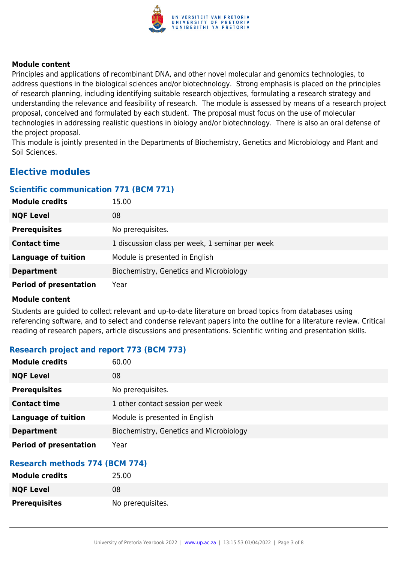

Principles and applications of recombinant DNA, and other novel molecular and genomics technologies, to address questions in the biological sciences and/or biotechnology. Strong emphasis is placed on the principles of research planning, including identifying suitable research objectives, formulating a research strategy and understanding the relevance and feasibility of research. The module is assessed by means of a research project proposal, conceived and formulated by each student. The proposal must focus on the use of molecular technologies in addressing realistic questions in biology and/or biotechnology. There is also an oral defense of the project proposal.

This module is jointly presented in the Departments of Biochemistry, Genetics and Microbiology and Plant and Soil Sciences.

# **Elective modules**

# **Scientific communication 771 (BCM 771)**

| <b>Module credits</b>         | 15.00                                           |
|-------------------------------|-------------------------------------------------|
| <b>NQF Level</b>              | 08                                              |
| <b>Prerequisites</b>          | No prerequisites.                               |
| <b>Contact time</b>           | 1 discussion class per week, 1 seminar per week |
| <b>Language of tuition</b>    | Module is presented in English                  |
| <b>Department</b>             | Biochemistry, Genetics and Microbiology         |
| <b>Period of presentation</b> | Year                                            |

## **Module content**

Students are guided to collect relevant and up-to-date literature on broad topics from databases using referencing software, and to select and condense relevant papers into the outline for a literature review. Critical reading of research papers, article discussions and presentations. Scientific writing and presentation skills.

# **Research project and report 773 (BCM 773)**

| <b>Module credits</b>         | 60.00                                   |
|-------------------------------|-----------------------------------------|
| <b>NQF Level</b>              | 08                                      |
| <b>Prerequisites</b>          | No prerequisites.                       |
| <b>Contact time</b>           | 1 other contact session per week        |
| <b>Language of tuition</b>    | Module is presented in English          |
| <b>Department</b>             | Biochemistry, Genetics and Microbiology |
| <b>Period of presentation</b> | Year                                    |

# **Research methods 774 (BCM 774)**

| <b>Module credits</b> | 25.00             |
|-----------------------|-------------------|
| <b>NQF Level</b>      | 08                |
| <b>Prerequisites</b>  | No prerequisites. |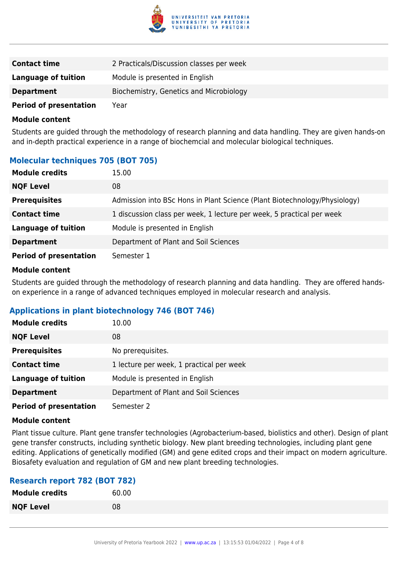

| <b>Contact time</b>           | 2 Practicals/Discussion classes per week |
|-------------------------------|------------------------------------------|
| <b>Language of tuition</b>    | Module is presented in English           |
| <b>Department</b>             | Biochemistry, Genetics and Microbiology  |
| <b>Period of presentation</b> | Year                                     |

Students are guided through the methodology of research planning and data handling. They are given hands-on and in-depth practical experience in a range of biochemcial and molecular biological techniques.

# **Molecular techniques 705 (BOT 705)**

| <b>Module credits</b>         | 15.00                                                                     |
|-------------------------------|---------------------------------------------------------------------------|
| <b>NQF Level</b>              | 08                                                                        |
| <b>Prerequisites</b>          | Admission into BSc Hons in Plant Science (Plant Biotechnology/Physiology) |
| <b>Contact time</b>           | 1 discussion class per week, 1 lecture per week, 5 practical per week     |
| <b>Language of tuition</b>    | Module is presented in English                                            |
| <b>Department</b>             | Department of Plant and Soil Sciences                                     |
| <b>Period of presentation</b> | Semester 1                                                                |

#### **Module content**

Students are guided through the methodology of research planning and data handling. They are offered handson experience in a range of advanced techniques employed in molecular research and analysis.

# **Applications in plant biotechnology 746 (BOT 746)**

| <b>Module credits</b>         | 10.00                                    |
|-------------------------------|------------------------------------------|
| <b>NQF Level</b>              | 08                                       |
| <b>Prerequisites</b>          | No prerequisites.                        |
| <b>Contact time</b>           | 1 lecture per week, 1 practical per week |
| <b>Language of tuition</b>    | Module is presented in English           |
| <b>Department</b>             | Department of Plant and Soil Sciences    |
| <b>Period of presentation</b> | Semester 2                               |

#### **Module content**

Plant tissue culture. Plant gene transfer technologies (Agrobacterium-based, biolistics and other). Design of plant gene transfer constructs, including synthetic biology. New plant breeding technologies, including plant gene editing. Applications of genetically modified (GM) and gene edited crops and their impact on modern agriculture. Biosafety evaluation and regulation of GM and new plant breeding technologies.

## **Research report 782 (BOT 782)**

| <b>Module credits</b> | 60.00 |
|-----------------------|-------|
| <b>NQF Level</b>      | 08    |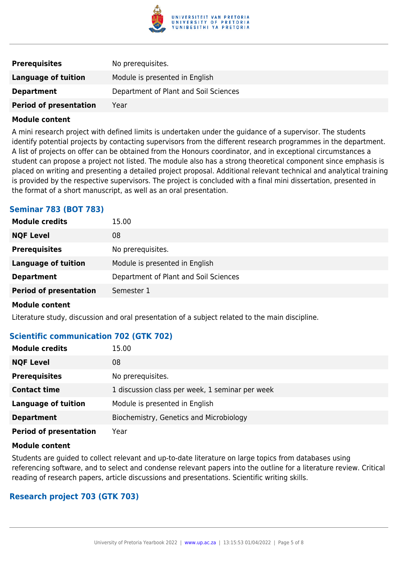

| <b>Prerequisites</b>          | No prerequisites.                     |
|-------------------------------|---------------------------------------|
| Language of tuition           | Module is presented in English        |
| <b>Department</b>             | Department of Plant and Soil Sciences |
| <b>Period of presentation</b> | Year                                  |

A mini research project with defined limits is undertaken under the guidance of a supervisor. The students identify potential projects by contacting supervisors from the different research programmes in the department. A list of projects on offer can be obtained from the Honours coordinator, and in exceptional circumstances a student can propose a project not listed. The module also has a strong theoretical component since emphasis is placed on writing and presenting a detailed project proposal. Additional relevant technical and analytical training is provided by the respective supervisors. The project is concluded with a final mini dissertation, presented in the format of a short manuscript, as well as an oral presentation.

# **Seminar 783 (BOT 783)**

| <b>Module credits</b>         | 15.00                                 |
|-------------------------------|---------------------------------------|
| <b>NQF Level</b>              | 08                                    |
| <b>Prerequisites</b>          | No prerequisites.                     |
| Language of tuition           | Module is presented in English        |
| <b>Department</b>             | Department of Plant and Soil Sciences |
| <b>Period of presentation</b> | Semester 1                            |

#### **Module content**

Literature study, discussion and oral presentation of a subject related to the main discipline.

## **Scientific communication 702 (GTK 702)**

| <b>Module credits</b>         | 15.00                                           |
|-------------------------------|-------------------------------------------------|
| <b>NQF Level</b>              | 08                                              |
| <b>Prerequisites</b>          | No prerequisites.                               |
| <b>Contact time</b>           | 1 discussion class per week, 1 seminar per week |
| <b>Language of tuition</b>    | Module is presented in English                  |
| <b>Department</b>             | Biochemistry, Genetics and Microbiology         |
| <b>Period of presentation</b> | Year                                            |

#### **Module content**

Students are guided to collect relevant and up-to-date literature on large topics from databases using referencing software, and to select and condense relevant papers into the outline for a literature review. Critical reading of research papers, article discussions and presentations. Scientific writing skills.

#### **Research project 703 (GTK 703)**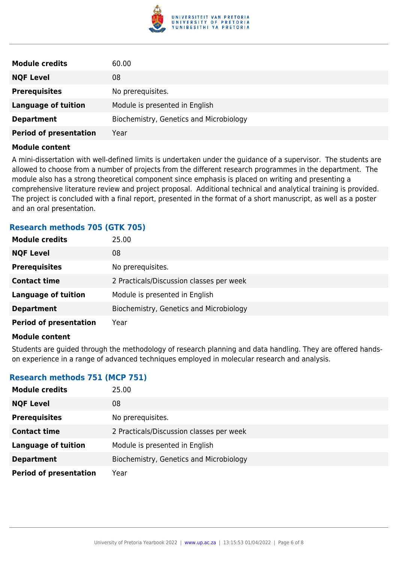

| <b>Module credits</b>         | 60.00                                   |
|-------------------------------|-----------------------------------------|
| <b>NQF Level</b>              | 08                                      |
| <b>Prerequisites</b>          | No prerequisites.                       |
| <b>Language of tuition</b>    | Module is presented in English          |
| <b>Department</b>             | Biochemistry, Genetics and Microbiology |
| <b>Period of presentation</b> | Year                                    |

A mini-dissertation with well-defined limits is undertaken under the guidance of a supervisor. The students are allowed to choose from a number of projects from the different research programmes in the department. The module also has a strong theoretical component since emphasis is placed on writing and presenting a comprehensive literature review and project proposal. Additional technical and analytical training is provided. The project is concluded with a final report, presented in the format of a short manuscript, as well as a poster and an oral presentation.

# **Research methods 705 (GTK 705)**

| <b>Module credits</b>                                                                                                                                                                                                                | 25.00                                    |
|--------------------------------------------------------------------------------------------------------------------------------------------------------------------------------------------------------------------------------------|------------------------------------------|
| <b>NQF Level</b>                                                                                                                                                                                                                     | 08                                       |
| <b>Prerequisites</b>                                                                                                                                                                                                                 | No prerequisites.                        |
| <b>Contact time</b>                                                                                                                                                                                                                  | 2 Practicals/Discussion classes per week |
| <b>Language of tuition</b>                                                                                                                                                                                                           | Module is presented in English           |
| <b>Department</b>                                                                                                                                                                                                                    | Biochemistry, Genetics and Microbiology  |
| <b>Period of presentation</b>                                                                                                                                                                                                        | Year                                     |
| <b>Address that the contract of the contract of the contract of the contract of the contract of the contract of the contract of the contract of the contract of the contract of the contract of the contract of the contract of </b> |                                          |

#### **Module content**

Students are guided through the methodology of research planning and data handling. They are offered handson experience in a range of advanced techniques employed in molecular research and analysis.

## **Research methods 751 (MCP 751)**

| <b>Module credits</b>         | 25.00                                    |
|-------------------------------|------------------------------------------|
| <b>NQF Level</b>              | 08                                       |
| <b>Prerequisites</b>          | No prerequisites.                        |
| <b>Contact time</b>           | 2 Practicals/Discussion classes per week |
| <b>Language of tuition</b>    | Module is presented in English           |
| <b>Department</b>             | Biochemistry, Genetics and Microbiology  |
| <b>Period of presentation</b> | Year                                     |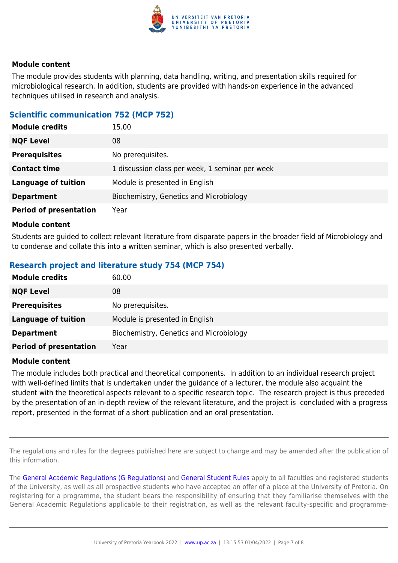

The module provides students with planning, data handling, writing, and presentation skills required for microbiological research. In addition, students are provided with hands-on experience in the advanced techniques utilised in research and analysis.

# **Scientific communication 752 (MCP 752)**

| <b>Module credits</b>         | 15.00                                           |
|-------------------------------|-------------------------------------------------|
| <b>NQF Level</b>              | 08                                              |
| <b>Prerequisites</b>          | No prerequisites.                               |
| <b>Contact time</b>           | 1 discussion class per week, 1 seminar per week |
| <b>Language of tuition</b>    | Module is presented in English                  |
| <b>Department</b>             | Biochemistry, Genetics and Microbiology         |
| <b>Period of presentation</b> | Year                                            |

#### **Module content**

Students are guided to collect relevant literature from disparate papers in the broader field of Microbiology and to condense and collate this into a written seminar, which is also presented verbally.

# **Research project and literature study 754 (MCP 754)**

| <b>Module credits</b>         | 60.00                                   |
|-------------------------------|-----------------------------------------|
| <b>NQF Level</b>              | 08                                      |
| <b>Prerequisites</b>          | No prerequisites.                       |
| <b>Language of tuition</b>    | Module is presented in English          |
| <b>Department</b>             | Biochemistry, Genetics and Microbiology |
| <b>Period of presentation</b> | Year                                    |

#### **Module content**

The module includes both practical and theoretical components. In addition to an individual research project with well-defined limits that is undertaken under the guidance of a lecturer, the module also acquaint the student with the theoretical aspects relevant to a specific research topic. The research project is thus preceded by the presentation of an in-depth review of the relevant literature, and the project is concluded with a progress report, presented in the format of a short publication and an oral presentation.

The regulations and rules for the degrees published here are subject to change and may be amended after the publication of this information.

The [General Academic Regulations \(G Regulations\)](https://www.up.ac.za/yearbooks/2022/rules/view/REG) and [General Student Rules](https://www.up.ac.za/yearbooks/2022/rules/view/RUL) apply to all faculties and registered students of the University, as well as all prospective students who have accepted an offer of a place at the University of Pretoria. On registering for a programme, the student bears the responsibility of ensuring that they familiarise themselves with the General Academic Regulations applicable to their registration, as well as the relevant faculty-specific and programme-